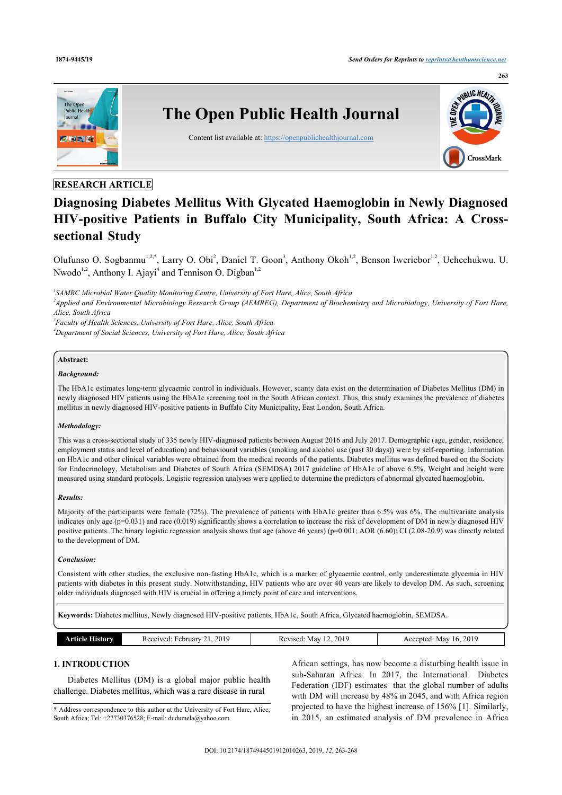

## **RESEARCH ARTICLE**

# **Diagnosing Diabetes Mellitus With Glycated Haemoglobin in Newly Diagnosed HIV-positive Patients in Buffalo City Municipality, South Africa: A Crosssectional Study**

Olufunso O. Sogbanmu<sup>[1](#page-0-0),[2,](#page-0-1)[\\*](#page-0-2)</sup>, Larry O. Obi<sup>[2](#page-0-1)</sup>, Daniel T. Goon<sup>[3](#page-0-3)</sup>, Anthony Okoh<sup>[1,](#page-0-0)2</sup>, Benson Iweriebor<sup>1,2</sup>, Uchechukwu. U. Nwodo<sup>[1](#page-0-0)[,2](#page-0-1)</sup>, Anthony I. Ajayi<sup>[4](#page-0-4)</sup> and Tennison O. Digban<sup>1,[2](#page-0-1)</sup>

<span id="page-0-0"></span>*1 SAMRC Microbial Water Quality Monitoring Centre, University of Fort Hare, Alice, South Africa*

<span id="page-0-1"></span>*2 Applied and Environmental Microbiology Research Group (AEMREG), Department of Biochemistry and Microbiology, University of Fort Hare, Alice, South Africa*

<span id="page-0-4"></span><span id="page-0-3"></span>*3 Faculty of Health Sciences, University of Fort Hare, Alice, South Africa <sup>4</sup>Department of Social Sciences, University of Fort Hare, Alice, South Africa*

### **Abstract:**

### *Background:*

The HbA1c estimates long-term glycaemic control in individuals. However, scanty data exist on the determination of Diabetes Mellitus (DM) in newly diagnosed HIV patients using the HbA1c screening tool in the South African context. Thus, this study examines the prevalence of diabetes mellitus in newly diagnosed HIV-positive patients in Buffalo City Municipality, East London, South Africa.

## *Methodology:*

This was a cross-sectional study of 335 newly HIV-diagnosed patients between August 2016 and July 2017. Demographic (age, gender, residence, employment status and level of education) and behavioural variables (smoking and alcohol use (past 30 days)) were by self-reporting. Information on HbA1c and other clinical variables were obtained from the medical records of the patients. Diabetes mellitus was defined based on the Society for Endocrinology, Metabolism and Diabetes of South Africa (SEMDSA) 2017 guideline of HbA1c of above 6.5%. Weight and height were measured using standard protocols. Logistic regression analyses were applied to determine the predictors of abnormal glycated haemoglobin.

#### *Results:*

Majority of the participants were female (72%). The prevalence of patients with HbA1c greater than 6.5% was 6%. The multivariate analysis indicates only age (p=0.031) and race (0.019) significantly shows a correlation to increase the risk of development of DM in newly diagnosed HIV positive patients. The binary logistic regression analysis shows that age (above 46 years) (p=0.001; AOR (6.60); CI (2.08-20.9) was directly related to the development of DM.

#### *Conclusion:*

Consistent with other studies, the exclusive non-fasting HbA1c, which is a marker of glycaemic control, only underestimate glycemia in HIV patients with diabetes in this present study. Notwithstanding, HIV patients who are over 40 years are likely to develop DM. As such, screening older individuals diagnosed with HIV is crucial in offering a timely point of care and interventions.

**Keywords:** Diabetes mellitus, Newly diagnosed HIV-positive patients, HbA1c, South Africa, Glycated haemoglobin, SEMDSA.

| History | 201<br>cebruar<br>$1.213700 +$<br>- Reco<br>'VCL.<br>- 17 | vised:<br>Mav<br>n.<br>__<br>. | 2019<br>Mav<br>16.<br>ented:<br>าเเ |
|---------|-----------------------------------------------------------|--------------------------------|-------------------------------------|

## **1. INTRODUCTION**

Diabetes Mellitus (DM) is a global major public health challenge. Diabetes mellitus, which was a rare disease in rural

<span id="page-0-2"></span>\* Address correspondence to this author at the University of Fort Hare, Alice, South Africa; Tel: +27730376528; E-mail: [dudumela@yahoo.com](mailto:dudumela@yahoo.com)

African settings, has now become a disturbing health issue in sub-Saharan Africa. In 2017, the International Diabetes Federation (IDF) estimates that the global number of adults with DM will increase by 48% in 2045, and with Africa region projected to have the highest increase of 156% [\[1\]](#page-4-0). Similarly, in 2015, an estimated analysis of DM prevalence in Africa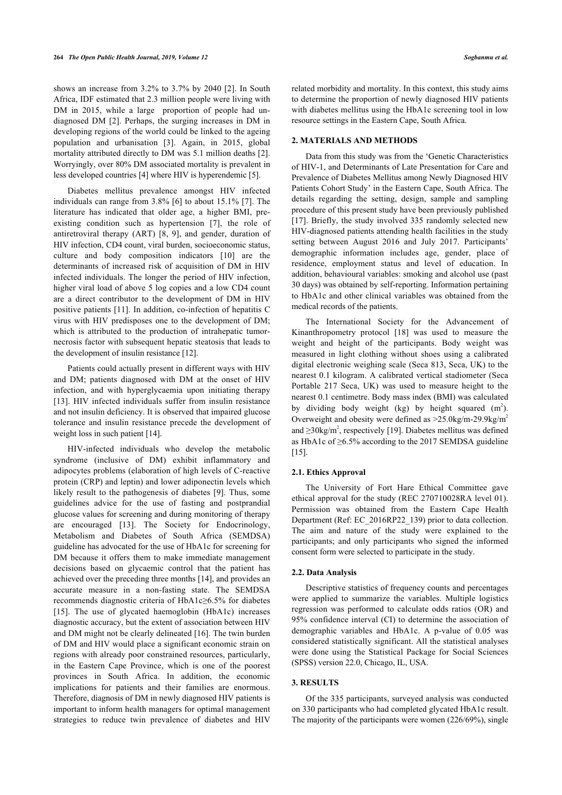shows an increase from 3.2% to 3.7% by 2040 [[2](#page-4-1)]. In South Africa, IDF estimated that 2.3 million people were living with DM in 2015, while a large proportion of people had undiagnosed DM [[2](#page-4-1)]. Perhaps, the surging increases in DM in developing regions of the world could be linked to the ageing population and urbanisation [\[3\]](#page-4-2). Again, in 2015, global mortality attributed directly to DM was 5.1 million deaths [\[2\]](#page-4-1). Worryingly, over 80% DM associated mortality is prevalent in less developed countries [[4](#page-4-3)] where HIV is hyperendemic [[5](#page-4-4)].

Diabetes mellitus prevalence amongst HIV infected individuals can range from 3.8% [[6](#page-4-5)] to about 15.1% [\[7\]](#page-4-6). The literature has indicated that older age, a higher BMI, preexisting condition such as hypertension [\[7](#page-4-6)], the role of antiretroviral therapy (ART)[[8](#page-4-7), [9\]](#page-4-8), and gender, duration of HIV infection, CD4 count, viral burden, socioeconomic status, culture and body composition indicators[[10\]](#page-4-9) are the determinants of increased risk of acquisition of DM in HIV infected individuals. The longer the period of HIV infection, higher viral load of above 5 log copies and a low CD4 count are a direct contributor to the development of DM in HIV positive patients [[11\]](#page-4-10). In addition, co-infection of hepatitis C virus with HIV predisposes one to the development of DM; which is attributed to the production of intrahepatic tumornecrosis factor with subsequent hepatic steatosis that leads to the development of insulin resistance [[12\]](#page-5-0).

Patients could actually present in different ways with HIV and DM; patients diagnosed with DM at the onset of HIV infection, and with hyperglycaemia upon initiating therapy [[13\]](#page-5-1). HIV infected individuals suffer from insulin resistance and not insulin deficiency. It is observed that impaired glucose tolerance and insulin resistance precede the development of weight loss in such patient [\[14](#page-5-2)].

HIV-infected individuals who develop the metabolic syndrome (inclusive of DM) exhibit inflammatory and adipocytes problems (elaboration of high levels of C-reactive protein (CRP) and leptin) and lower adiponectin levels which likely result to the pathogenesis of diabetes [\[9](#page-4-8)]. Thus, some guidelines advice for the use of fasting and postprandial glucose values for screening and during monitoring of therapy are encouraged[[13\]](#page-5-1). The Society for Endocrinology, Metabolism and Diabetes of South Africa (SEMDSA) guideline has advocated for the use of HbA1c for screening for DM because it offers them to make immediate management decisions based on glycaemic control that the patient has achieved over the preceding three months [[14\]](#page-5-2), and provides an accurate measure in a non-fasting state. The SEMDSA recommends diagnostic criteria of HbA1c≥6.5% for diabetes [[15\]](#page-5-3). The use of glycated haemoglobin (HbA1c) increases diagnostic accuracy, but the extent of association between HIV and DM might not be clearly delineated [[16\]](#page-5-4). The twin burden of DM and HIV would place a significant economic strain on regions with already poor constrained resources, particularly, in the Eastern Cape Province, which is one of the poorest provinces in South Africa. In addition, the economic implications for patients and their families are enormous. Therefore, diagnosis of DM in newly diagnosed HIV patients is important to inform health managers for optimal management strategies to reduce twin prevalence of diabetes and HIV

related morbidity and mortality. In this context, this study aims to determine the proportion of newly diagnosed HIV patients with diabetes mellitus using the HbA1c screening tool in low resource settings in the Eastern Cape, South Africa.

## **2. MATERIALS AND METHODS**

Data from this study was from the 'Genetic Characteristics of HIV-1, and Determinants of Late Presentation for Care and Prevalence of Diabetes Mellitus among Newly Diagnosed HIV Patients Cohort Study' in the Eastern Cape, South Africa. The details regarding the setting, design, sample and sampling procedure of this present study have been previously published [[17](#page-5-5)]. Briefly, the study involved 335 randomly selected new HIV-diagnosed patients attending health facilities in the study setting between August 2016 and July 2017. Participants' demographic information includes age, gender, place of residence, employment status and level of education. In addition, behavioural variables: smoking and alcohol use (past 30 days) was obtained by self-reporting. Information pertaining to HbA1c and other clinical variables was obtained from the medical records of the patients.

The International Society for the Advancement of Kinanthropometry protocol[[18](#page-5-6)] was used to measure the weight and height of the participants. Body weight was measured in light clothing without shoes using a calibrated digital electronic weighing scale (Seca 813, Seca, UK) to the nearest 0.1 kilogram. A calibrated vertical stadiometer (Seca Portable 217 Seca, UK) was used to measure height to the nearest 0.1 centimetre. Body mass index (BMI) was calculated by dividing body weight (kg) by height squared  $(m^2)$ . Overweight and obesity were defined as  $>25.0$ kg/m-29.9kg/m<sup>2</sup> and  $\geq$ 30kg/m<sup>2</sup>, respectively [\[19](#page-5-7)]. Diabetes mellitus was defined as HbA1c of ≥6.5% according to the 2017 SEMDSA guideline [[15\]](#page-5-3).

## **2.1. Ethics Approval**

The University of Fort Hare Ethical Committee gave ethical approval for the study (REC 270710028RA level 01). Permission was obtained from the Eastern Cape Health Department (Ref: EC\_2016RP22\_139) prior to data collection. The aim and nature of the study were explained to the participants; and only participants who signed the informed consent form were selected to participate in the study.

## **2.2. Data Analysis**

Descriptive statistics of frequency counts and percentages were applied to summarize the variables. Multiple logistics regression was performed to calculate odds ratios (OR) and 95% confidence interval (CI) to determine the association of demographic variables and HbA1c. A p-value of 0.05 was considered statistically significant. All the statistical analyses were done using the Statistical Package for Social Sciences (SPSS) version 22.0, Chicago, IL, USA.

## **3. RESULTS**

Of the 335 participants, surveyed analysis was conducted on 330 participants who had completed glycated HbA1c result. The majority of the participants were women (226/69%), single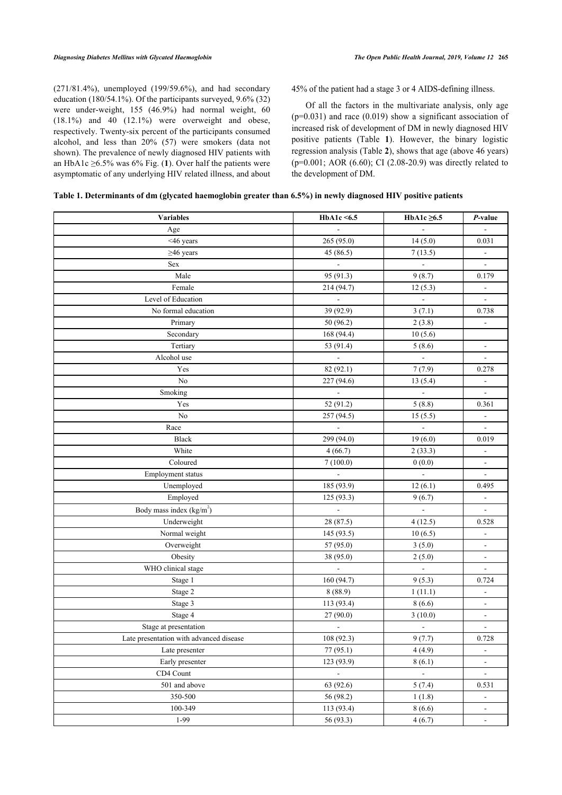(271/81.4%), unemployed (199/59.6%), and had secondary education (180/54.1%). Of the participants surveyed, 9.6% (32) were under-weight, 155 (46.9%) had normal weight, 60  $(18.1\%)$  and  $(12.1\%)$  were overweight and obese, respectively. Twenty-six percent of the participants consumed alcohol, and less than 20% (57) were smokers (data not shown). The prevalence of newly diagnosed HIV patients with an HbA[1](#page-3-0)c  $\geq$ 6.5% was 6% Fig. (1). Over half the patients were asymptomatic of any underlying HIV related illness, and about

45% of the patient had a stage 3 or 4 AIDS-defining illness.

Of all the factors in the multivariate analysis, only age  $(p=0.031)$  and race  $(0.019)$  show a significant association of increased risk of development of DM in newly diagnosed HIV positive patients (Table **1**). However, the binary logistic regression analysis (Table **[2](#page-3-1)**), shows that age (above 46 years) (p=0.001; AOR (6.60); CI (2.08-20.9) was directly related to the development of DM.

| Table 1. Determinants of dm (glycated haemoglobin greater than 6.5%) in newly diagnosed HIV positive patients |  |  |  |
|---------------------------------------------------------------------------------------------------------------|--|--|--|
|                                                                                                               |  |  |  |

| <b>Variables</b>                        | HbA1c <6.5                  | HbA1c $\geq 6.5$         | P-value                  |
|-----------------------------------------|-----------------------------|--------------------------|--------------------------|
| Age                                     | $\blacksquare$              | $\Box$                   | $\overline{a}$           |
| <46 years                               | 265 (95.0)                  | 14(5.0)                  | 0.031                    |
| $\geq$ 46 years                         | 45 (86.5)                   | 7(13.5)                  | $\frac{1}{2}$            |
| Sex                                     |                             | $\Box$                   | $\Box$                   |
| Male                                    | 95 (91.3)                   | 9(8.7)                   | 0.179                    |
| Female                                  | 214 (94.7)                  | 12(5.3)                  | $\overline{\phantom{a}}$ |
| Level of Education                      | $\Box$                      | $\blacksquare$           | $\blacksquare$           |
| No formal education                     | 39 (92.9)                   | 3(7.1)                   | 0.738                    |
| Primary                                 | 50 (96.2)                   | 2(3.8)                   | $\frac{1}{2}$            |
| Secondary                               | 168 (94.4)                  | 10(5.6)                  |                          |
| Tertiary                                | 53 (91.4)                   | 5(8.6)                   | ÷                        |
| Alcohol use                             | $\sim$                      | $\sim$                   | ÷,                       |
| Yes                                     | 82 (92.1)                   | 7(7.9)                   | 0.278                    |
| No                                      | 227 (94.6)                  | 13(5.4)                  | $\frac{1}{2}$            |
| Smoking                                 | $\Box$                      | $\overline{\phantom{a}}$ | $\blacksquare$           |
| Yes                                     | 52 (91.2)                   | 5(8.8)                   | 0.361                    |
| No                                      | 257 (94.5)                  | 15(5.5)                  | $\blacksquare$           |
| Race                                    | $\mathbb{L}$                | $\Box$                   | ÷                        |
| <b>Black</b>                            | 299 (94.0)                  | 19(6.0)                  | 0.019                    |
| White                                   | 4(66.7)                     | 2(33.3)                  | $\blacksquare$           |
| Coloured                                | 7(100.0)                    | 0(0.0)                   | $\blacksquare$           |
| Employment status                       | $\mathcal{L}_{\mathcal{A}}$ | $\Box$                   | $\blacksquare$           |
| Unemployed                              | 185 (93.9)                  | 12(6.1)                  | 0.495                    |
| Employed                                | 125(93.3)                   | 9(6.7)                   | $\overline{\phantom{a}}$ |
| Body mass index (kg/m <sup>2</sup> )    | $\overline{\phantom{a}}$    | $\Box$                   | $\overline{\phantom{a}}$ |
| Underweight                             | 28 (87.5)                   | 4(12.5)                  | 0.528                    |
| Normal weight                           | 145 (93.5)                  | 10(6.5)                  | $\blacksquare$           |
| Overweight                              | 57 (95.0)                   | 3(5.0)                   | ۰                        |
| Obesity                                 | 38 (95.0)                   | 2(5.0)                   | $\frac{1}{2}$            |
| WHO clinical stage                      | $\blacksquare$              | $\overline{\phantom{a}}$ | $\overline{\phantom{a}}$ |
| Stage 1                                 | 160 (94.7)                  | 9(5.3)                   | 0.724                    |
| Stage 2                                 | 8(88.9)                     | 1(11.1)                  | $\blacksquare$           |
| Stage 3                                 | 113 (93.4)                  | 8(6.6)                   | $\overline{\phantom{a}}$ |
| Stage 4                                 | 27 (90.0)                   | 3(10.0)                  | $\overline{\phantom{a}}$ |
| Stage at presentation                   | $\overline{\phantom{a}}$    | $\overline{\phantom{a}}$ | $\blacksquare$           |
| Late presentation with advanced disease | 108(92.3)                   | 9(7.7)                   | 0.728                    |
| Late presenter                          | 77(95.1)                    | 4(4.9)                   | ۰                        |
| Early presenter                         | 123(93.9)                   | 8(6.1)                   | $\overline{\phantom{a}}$ |
| CD4 Count                               | $\overline{\phantom{a}}$    | $\blacksquare$           | $\blacksquare$           |
| 501 and above                           | 63 (92.6)                   | 5(7.4)                   | 0.531                    |
| 350-500                                 | 56 (98.2)                   | 1(1.8)                   | $\blacksquare$           |
| 100-349                                 | 113(93.4)                   | 8(6.6)                   | $\blacksquare$           |
| $1-99$                                  | 56 (93.3)                   | 4(6.7)                   | $\sim$                   |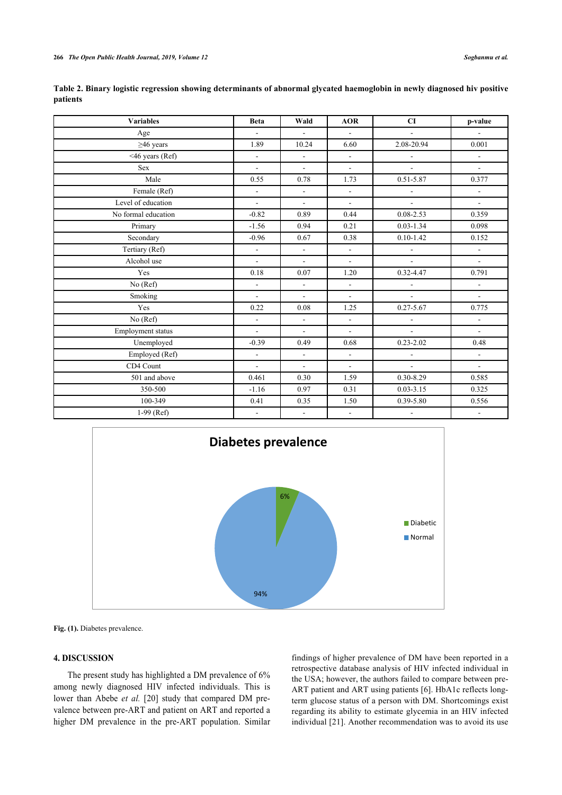| <b>Variables</b>    | <b>Beta</b>              | Wald                        | <b>AOR</b>               | CI                     | p-value                  |
|---------------------|--------------------------|-----------------------------|--------------------------|------------------------|--------------------------|
| Age                 | $\blacksquare$           | $\mathcal{L}_{\mathcal{A}}$ | $\mathbf{u}$             | $\blacksquare$         | $\blacksquare$           |
| $\geq$ 46 years     | 1.89                     | 10.24                       | 6.60                     | 2.08-20.94             | 0.001                    |
| $<$ 46 years (Ref)  | $\mathbf{r}$             | $\mathbf{r}$                | $\blacksquare$           | $\mathbf{r}$           | $\overline{\phantom{a}}$ |
| <b>Sex</b>          | $\blacksquare$           | $\blacksquare$              | $\blacksquare$           | $\blacksquare$         | $\blacksquare$           |
| Male                | 0.55                     | 0.78                        | 1.73                     | $0.51 - 5.87$          | 0.377                    |
| Female (Ref)        | L.                       | $\overline{\phantom{a}}$    | $\overline{\phantom{a}}$ |                        | $\overline{\phantom{0}}$ |
| Level of education  | $\mathbf{r}$             | $\mathbf{r}$                | $\blacksquare$           | $\blacksquare$         | $\overline{\phantom{a}}$ |
| No formal education | $-0.82$                  | 0.89                        | 0.44                     | $0.08 - 2.53$          | 0.359                    |
| Primary             | $-1.56$                  | 0.94                        | 0.21                     | $0.03 - 1.34$          | 0.098                    |
| Secondary           | $-0.96$                  | 0.67                        | 0.38                     | $0.10 - 1.42$          | 0.152                    |
| Tertiary (Ref)      | $\overline{a}$           | $\mathbb{Z}^{\mathbb{Z}}$   | $\omega$                 | $\blacksquare$         | $\blacksquare$           |
| Alcohol use         | $\blacksquare$           | $\blacksquare$              | $\blacksquare$           | $\blacksquare$         | $\blacksquare$           |
| Yes                 | 0.18                     | 0.07                        | 1.20                     | 0.32-4.47              | 0.791                    |
| No (Ref)            | $\overline{a}$           | $\blacksquare$              | $\overline{\phantom{a}}$ | $\Box$                 | $\blacksquare$           |
| Smoking             | $\overline{a}$           | $\mathbf{r}$                | $\blacksquare$           | $\blacksquare$         | $\overline{\phantom{a}}$ |
| Yes                 | 0.22                     | 0.08                        | 1.25                     | $0.27 - 5.67$          | 0.775                    |
| No (Ref)            | $\overline{a}$           | $\mathbf{r}$                | $\mathbf{r}$             | $\blacksquare$         | $\overline{\phantom{a}}$ |
| Employment status   | L.                       | $\mathbf{L}$                | $\overline{\phantom{a}}$ | $\equiv$               | $\overline{a}$           |
| Unemployed          | $-0.39$                  | 0.49                        | 0.68                     | $0.23 - 2.02$          | 0.48                     |
| Employed (Ref)      | $\blacksquare$           | $\omega$                    | $\mathbf{r}$             | $\blacksquare$         | $\blacksquare$           |
| CD4 Count           | $\overline{a}$           | $\blacksquare$              | $\sim$                   | $\mathbf{a}^{\dagger}$ | $\equiv$                 |
| 501 and above       | 0.461                    | 0.30                        | 1.59                     | $0.30 - 8.29$          | 0.585                    |
| 350-500             | $-1.16$                  | 0.97                        | 0.31                     | $0.03 - 3.15$          | 0.325                    |
| 100-349             | 0.41                     | 0.35                        | 1.50                     | 0.39-5.80              | 0.556                    |
| $1-99$ (Ref)        | $\overline{\phantom{a}}$ | $\blacksquare$              | $\sim$                   | $\blacksquare$         | ٠                        |

<span id="page-3-1"></span>

| Table 2. Binary logistic regression showing determinants of abnormal glycated haemoglobin in newly diagnosed hiv positive |  |  |  |  |  |
|---------------------------------------------------------------------------------------------------------------------------|--|--|--|--|--|
| patients                                                                                                                  |  |  |  |  |  |

<span id="page-3-0"></span>

Fig. (1). Diabetes prevalence.

## **4. DISCUSSION**

The present study has highlighted a DM prevalence of 6% among newly diagnosed HIV infected individuals. This is lower than Abebe *et al.* [[20\]](#page-5-1) study that compared DM prevalence between pre-ART and patient on ART and reported a higher DM prevalence in the pre-ART population. Similar

findings of higher prevalence of DM have been reported in a retrospective database analysis of HIV infected individual in the USA; however, the authors failed to compare between pre-ART patient and ART using patients [[6\]](#page-4-5). HbA1c reflects longterm glucose status of a person with DM. Shortcomings exist regarding its ability to estimate glycemia in an HIV infected individual [[21](#page-5-8)]. Another recommendation was to avoid its use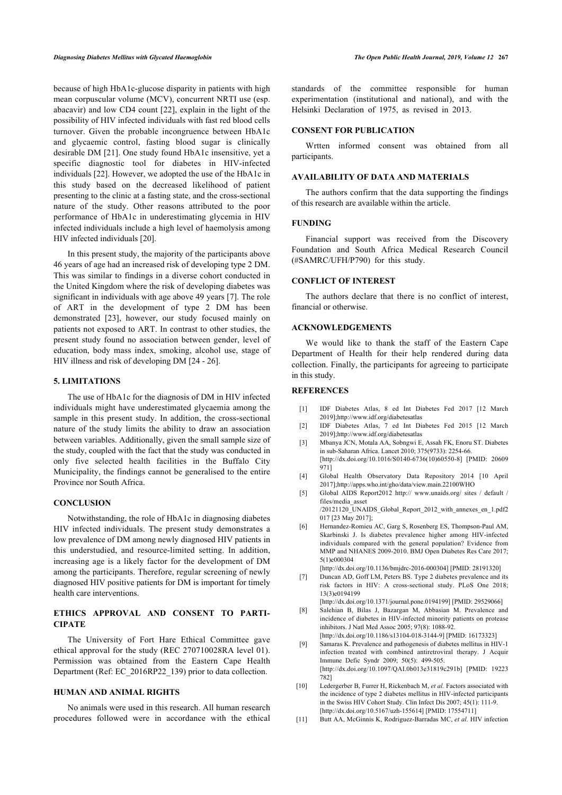because of high HbA1c-glucose disparity in patients with high mean corpuscular volume (MCV), concurrent NRTI use (esp. abacavir) and low CD4 count [\[22](#page-5-9)], explain in the light of the possibility of HIV infected individuals with fast red blood cells turnover. Given the probable incongruence between HbA1c and glycaemic control, fasting blood sugar is clinically desirable DM [[21](#page-5-8)]. One study found HbA1c insensitive, yet a specific diagnostic tool for diabetes in HIV-infected individuals [\[22](#page-5-9)]. However, we adopted the use of the HbA1c in this study based on the decreased likelihood of patient presenting to the clinic at a fasting state, and the cross-sectional nature of the study. Other reasons attributed to the poor performance of HbA1c in underestimating glycemia in HIV infected individuals include a high level of haemolysis among HIV infected individuals [\[20](#page-5-1)].

In this present study, the majority of the participants above 46 years of age had an increased risk of developing type 2 DM. This was similar to findings in a diverse cohort conducted in the United Kingdom where the risk of developing diabetes was significant in individuals with age above 49 years [\[7\]](#page-4-6). The role of ART in the development of type 2 DM has been demonstrated [\[23](#page-5-10)], however, our study focused mainly on patients not exposed to ART. In contrast to other studies, the present study found no association between gender, level of education, body mass index, smoking, alcohol use, stage of HIV illness and risk of developing DM [[24](#page-5-11) - [26](#page-5-12)].

## **5. LIMITATIONS**

<span id="page-4-2"></span><span id="page-4-1"></span><span id="page-4-0"></span>The use of HbA1c for the diagnosis of DM in HIV infected individuals might have underestimated glycaemia among the sample in this present study. In addition, the cross-sectional nature of the study limits the ability to draw an association between variables. Additionally, given the small sample size of the study, coupled with the fact that the study was conducted in only five selected health facilities in the Buffalo City Municipality, the findings cannot be generalised to the entire Province nor South Africa.

## <span id="page-4-4"></span><span id="page-4-3"></span>**CONCLUSION**

<span id="page-4-5"></span>Notwithstanding, the role of HbA1c in diagnosing diabetes HIV infected individuals. The present study demonstrates a low prevalence of DM among newly diagnosed HIV patients in this understudied, and resource-limited setting. In addition, increasing age is a likely factor for the development of DM among the participants. Therefore, regular screening of newly diagnosed HIV positive patients for DM is important for timely health care interventions.

## <span id="page-4-7"></span><span id="page-4-6"></span>**ETHICS APPROVAL AND CONSENT TO PARTI-CIPATE**

<span id="page-4-8"></span>The University of Fort Hare Ethical Committee gave ethical approval for the study (REC 270710028RA level 01). Permission was obtained from the Eastern Cape Health Department (Ref: EC\_2016RP22\_139) prior to data collection.

## <span id="page-4-9"></span>**HUMAN AND ANIMAL RIGHTS**

<span id="page-4-10"></span>No animals were used in this research. All human research procedures followed were in accordance with the ethical standards of the committee responsible for human experimentation (institutional and national), and with the Helsinki Declaration of 1975, as revised in 2013.

## **CONSENT FOR PUBLICATION**

Wrtten informed consent was obtained from all participants.

#### **AVAILABILITY OF DATA AND MATERIALS**

The authors confirm that the data supporting the findings of this research are available within the article.

## **FUNDING**

Financial support was received from the Discovery Foundation and South Africa Medical Research Council (#SAMRC/UFH/P790) for this study.

## **CONFLICT OF INTEREST**

The authors declare that there is no conflict of interest, financial or otherwise.

## **ACKNOWLEDGEMENTS**

We would like to thank the staff of the Eastern Cape Department of Health for their help rendered during data collection. Finally, the participants for agreeing to participate in this study.

### **REFERENCES**

- [1] IDF Diabetes Atlas, 8 ed Int Diabetes Fed 2017 [12 March 2019][;http://www.idf.org/diabetesatlas](http://www.idf.org/diabetesatlas)
- [2] IDF Diabetes Atlas, 7 ed Int Diabetes Fed 2015 [12 March 2019][;http://www.idf.org/diabetesatlas](http://www.idf.org/diabetesatlas)
- [3] Mbanya JCN, Motala AA, Sobngwi E, Assah FK, Enoru ST. Diabetes in sub-Saharan Africa. Lancet 2010; 375(9733): 2254-66. [\[http://dx.doi.org/10.1016/S0140-6736\(10\)60550-8](http://dx.doi.org/10.1016/S0140-6736(10)60550-8)] [PMID: [20609](http://www.ncbi.nlm.nih.gov/pubmed/20609%20971) [971](http://www.ncbi.nlm.nih.gov/pubmed/20609%20971)]
- [4] Global Health Observatory Data Repository 2014 [10 April 2017][;http://apps.who.int/gho/data/view.main.22100WHO](http://apps.who.int/gho/data/view.main.22100WHO)
- [5] Global AIDS Report2012 [http:// www.unaids.org/ sites / default /](http://www.unaids.org/sites/default/files/media_asset/20121120_UNAIDS_Global_Report_2012_with_annexes_en_1.pdf) [files/media\\_asset](http://www.unaids.org/sites/default/files/media_asset/20121120_UNAIDS_Global_Report_2012_with_annexes_en_1.pdf) [/20121120\\_UNAIDS\\_Global\\_Report\\_2012\\_with\\_annexes\\_en\\_1.pdf](http://www.unaids.org/sites/default/files/media_asset/20121120_UNAIDS_Global_Report_2012_with_annexes_en_1.pdf)2 017 [23 May 2017];
- [6] Hernandez-Romieu AC, Garg S, Rosenberg ES, Thompson-Paul AM, Skarbinski J. Is diabetes prevalence higher among HIV-infected individuals compared with the general population? Evidence from MMP and NHANES 2009-2010. BMJ Open Diabetes Res Care 2017; 5(1)e000304

[\[http://dx.doi.org/10.1136/bmjdrc-2016-000304\]](http://dx.doi.org/10.1136/bmjdrc-2016-000304) [PMID: [28191320\]](http://www.ncbi.nlm.nih.gov/pubmed/28191320)

- [7] Duncan AD, Goff LM, Peters BS. Type 2 diabetes prevalence and its risk factors in HIV: A cross-sectional study. PLoS One 2018; 13(3)e0194199
	- [\[http://dx.doi.org/10.1371/journal.pone.0194199\]](http://dx.doi.org/10.1371/journal.pone.0194199) [PMID: [29529066\]](http://www.ncbi.nlm.nih.gov/pubmed/29529066)
- [8] Salehian B, Bilas J, Bazargan M, Abbasian M. Prevalence and incidence of diabetes in HIV-infected minority patients on protease inhibitors. J Natl Med Assoc 2005; 97(8): 1088-92. [\[http://dx.doi.org/10.1186/s13104-018-3144-9\]](http://dx.doi.org/10.1186/s13104-018-3144-9) [PMID: [16173323](http://www.ncbi.nlm.nih.gov/pubmed/16173323)]
- [9] Samaras K. Prevalence and pathogenesis of diabetes mellitus in HIV-1 infection treated with combined antiretroviral therapy. J Acquir Immune Defic Syndr 2009; 50(5): 499-505. [\[http://dx.doi.org/10.1097/QAI.0b013e31819c291b\]](http://dx.doi.org/10.1097/QAI.0b013e31819c291b) [PMID: [19223](http://www.ncbi.nlm.nih.gov/pubmed/19223%20782) [782](http://www.ncbi.nlm.nih.gov/pubmed/19223%20782)]
- [10] Ledergerber B, Furrer H, Rickenbach M, et al. Factors associated with the incidence of type 2 diabetes mellitus in HIV-infected participants in the Swiss HIV Cohort Study. Clin Infect Dis 2007; 45(1): 111-9. [\[http://dx.doi.org/10.5167/uzh-155614\]](http://dx.doi.org/10.5167/uzh-155614) [PMID: [17554711\]](http://www.ncbi.nlm.nih.gov/pubmed/17554711)
- [11] Butt AA, McGinnis K, Rodriguez-Barradas MC, *et al.* HIV infection